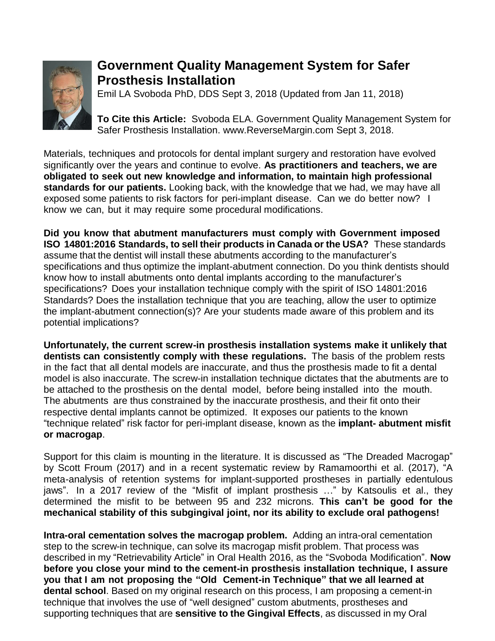

## **Government Quality Management System for Safer Prosthesis Installation**

Emil LA Svoboda PhD, DDS Sept 3, 2018 (Updated from Jan 11, 2018)

**To Cite this Article:** Svoboda ELA. Government Quality Management System for Safer Prosthesis Installation. www.ReverseMargin.com Sept 3, 2018.

Materials, techniques and protocols for dental implant surgery and restoration have evolved significantly over the years and continue to evolve. **As practitioners and teachers, we are obligated to seek out new knowledge and information, to maintain high professional standards for our patients.** Looking back, with the knowledge that we had, we may have all exposed some patients to risk factors for peri-implant disease. Can we do better now? I know we can, but it may require some procedural modifications.

**Did you know that abutment manufacturers must comply with Government imposed ISO 14801:2016 Standards, to sell their products in Canada or the USA?** These standards assume that the dentist will install these abutments according to the manufacturer's specifications and thus optimize the implant-abutment connection. Do you think dentists should know how to install abutments onto dental implants according to the manufacturer's specifications? Does your installation technique comply with the spirit of ISO 14801:2016 Standards? Does the installation technique that you are teaching, allow the user to optimize the implant-abutment connection(s)? Are your students made aware of this problem and its potential implications?

**Unfortunately, the current screw-in prosthesis installation systems make it unlikely that dentists can consistently comply with these regulations.** The basis of the problem rests in the fact that all dental models are inaccurate, and thus the prosthesis made to fit a dental model is also inaccurate. The screw-in installation technique dictates that the abutments are to be attached to the prosthesis on the dental model, before being installed into the mouth. The abutments are thus constrained by the inaccurate prosthesis, and their fit onto their respective dental implants cannot be optimized. It exposes our patients to the known "technique related" risk factor for peri-implant disease, known as the **implant- abutment misfit or macrogap**.

Support for this claim is mounting in the literature. It is discussed as "The Dreaded Macrogap" by Scott Froum (2017) and in a recent systematic review by Ramamoorthi et al. (2017), "A meta-analysis of retention systems for implant-supported prostheses in partially edentulous jaws". In a 2017 review of the "Misfit of implant prosthesis …" by Katsoulis et al., they determined the misfit to be between 95 and 232 microns. **This can't be good for the mechanical stability of this subgingival joint, nor its ability to exclude oral pathogens!**

**Intra-oral cementation solves the macrogap problem.** Adding an intra-oral cementation step to the screw-in technique, can solve its macrogap misfit problem. That process was described in my "Retrievability Article" in Oral Health 2016, as the "Svoboda Modification". **Now before you close your mind to the cement-in prosthesis installation technique, I assure you that I am not proposing the "Old Cement-in Technique" that we all learned at dental school**. Based on my original research on this process, I am proposing a cement-in technique that involves the use of "well designed" custom abutments, prostheses and supporting techniques that are **sensitive to the Gingival Effects**, as discussed in my Oral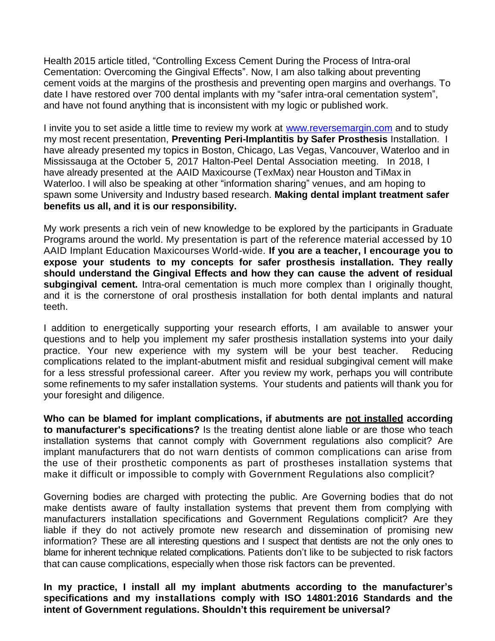Health 2015 article titled, "Controlling Excess Cement During the Process of Intra-oral Cementation: Overcoming the Gingival Effects". Now, I am also talking about preventing cement voids at the margins of the prosthesis and preventing open margins and overhangs. To date I have restored over 700 dental implants with my "safer intra-oral cementation system", and have not found anything that is inconsistent with my logic or published work.

I invite you to set aside a little time to review my work at [www.reversemargin.com](http://www.reversemargin.com/) and to study my most recent presentation, **Preventing Peri-Implantitis by Safer Prosthesis** Installation. I have already presented my topics in Boston, Chicago, Las Vegas, Vancouver, Waterloo and in Mississauga at the October 5, 2017 Halton-Peel Dental Association meeting. In 2018, I have already presented at the AAID Maxicourse (TexMax) near Houston and TiMax in Waterloo. I will also be speaking at other "information sharing" venues, and am hoping to spawn some University and Industry based research. **Making dental implant treatment safer benefits us all, and it is our responsibility.**

My work presents a rich vein of new knowledge to be explored by the participants in Graduate Programs around the world. My presentation is part of the reference material accessed by 10 AAID Implant Education Maxicourses World-wide. **If you are a teacher, I encourage you to expose your students to my concepts for safer prosthesis installation. They really should understand the Gingival Effects and how they can cause the advent of residual subgingival cement.** Intra-oral cementation is much more complex than I originally thought, and it is the cornerstone of oral prosthesis installation for both dental implants and natural teeth.

I addition to energetically supporting your research efforts, I am available to answer your questions and to help you implement my safer prosthesis installation systems into your daily practice. Your new experience with my system will be your best teacher. Reducing complications related to the implant-abutment misfit and residual subgingival cement will make for a less stressful professional career. After you review my work, perhaps you will contribute some refinements to my safer installation systems. Your students and patients will thank you for your foresight and diligence.

**Who can be blamed for implant complications, if abutments are not installed according to manufacturer's specifications?** Is the treating dentist alone liable or are those who teach installation systems that cannot comply with Government regulations also complicit? Are implant manufacturers that do not warn dentists of common complications can arise from the use of their prosthetic components as part of prostheses installation systems that make it difficult or impossible to comply with Government Regulations also complicit?

Governing bodies are charged with protecting the public. Are Governing bodies that do not make dentists aware of faulty installation systems that prevent them from complying with manufacturers installation specifications and Government Regulations complicit? Are they liable if they do not actively promote new research and dissemination of promising new information? These are all interesting questions and I suspect that dentists are not the only ones to blame for inherent technique related complications. Patients don't like to be subjected to risk factors that can cause complications, especially when those risk factors can be prevented.

**In my practice, I install all my implant abutments according to the manufacturer's specifications and my installations comply with ISO 14801:2016 Standards and the intent of Government regulations. Shouldn't this requirement be universal?**